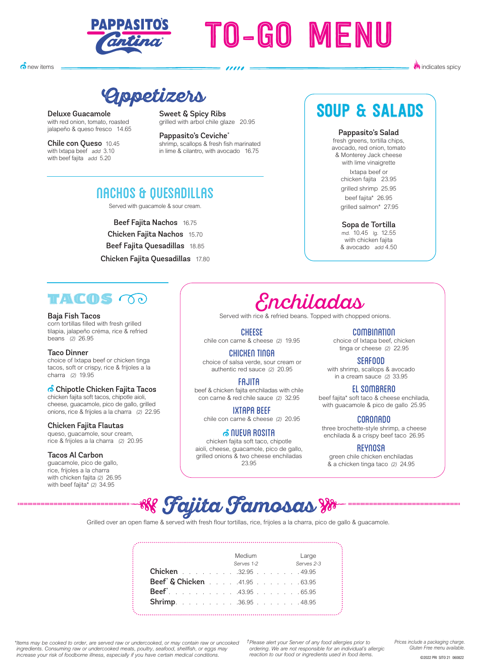

# TO-GO MENU

 $\delta$  new items

**W** indicates spicy

**Appetizers**

Deluxe Guacamole with red onion, tomato, roasted jalapeño & queso fresco 14.65

Chile con Queso 10.45 with Ixtapa beef add 3.10 with beef fajita add 5.20

Sweet & Spicy Ribs grilled with arbol chile glaze 20.95

Pappasito's Ceviche\* shrimp, scallops & fresh fish marinated in lime & cilantro, with avocado 16.75

### NACHOS & QUESADILLAS

Served with guacamole & sour cream.

Beef Fajita Nachos 16.75 Chicken Fajita Nachos 15.70 Beef Fajita Quesadillas 18.85 Chicken Fajita Quesadillas 17.80

### SOUP & SALADS

#### Pappasito's Salad

fresh greens, tortilla chips, avocado, red onion, tomato & Monterey Jack cheese with lime vinaigrette Ixtapa beef or chicken fajita 23.95 grilled shrimp 25.95 beef fajita\* 26.95 grilled salmon\* 27.95

#### Sopa de Tortilla

md. 10.45 lg. 12.55<br>with chicken failta & avocado add 4.50

#### THE OS OO

#### Baja Fish Tacos

corn tortillas filled with fresh grilled tilapia, jalapeño créma, rice & refried beans (2) 26.95

#### Taco Dinner

choice of Ixtapa beef or chicken tinga tacos, soft or crispy, rice & frijoles a la charra (2) 19.95

#### <mark>ி</mark> Chipotle Chicken Fajita Tacos

chicken fajita soft tacos, chipotle aioli, cheese, guacamole, pico de gallo, grilled onions, rice & frijoles a la charra (2) 22.95

#### Chicken Fajita Flautas

queso, guacamole, sour cream, rice & frijoles a la charra (2) 20.95

#### Tacos Al Carbon

guacamole, pico de gallo, rice, frijoles a la charra with chicken fajita (2) 26.95 with beef fajita\* (2) 34.95

### Enchiladas

Served with rice & refried beans. Topped with chopped onions.

**CHEESE** 

chile con carne & cheese (2) 19.95

CHICKEN TINGA choice of salsa verde, sour cream or authentic red sauce (2) 20.95

FAJITA

beef & chicken fajita enchiladas with chile con carne & red chile sauce (2) 32.95

IXTAPA BEEF

chile con carne & cheese (2) 20.95

#### **் NUEUA ROSITA**

chicken fajita soft taco, chipotle aioli, cheese, guacamole, pico de gallo, grilled onions & two cheese enchiladas 23.95

**COMBINATION** choice of Ixtapa beef, chicken tinga or cheese (2) 22.95

SEAFOOD with shrimp, scallops & avocado in a cream sauce (2) 33.95

EL SOMBRERO beef fajita\* soft taco & cheese enchilada, with guacamole & pico de gallo 25.95

**CORONADO**<br>three brochette-style shrimp, a cheese enchilada & a crispy beef taco 26.95

#### REYNOSA

green chile chicken enchiladas & a chicken tinga taco (2) 24.95



Grilled over an open flame & served with fresh flour tortillas, rice, frijoles a la charra, pico de gallo & guacamole.

|                                                   | Medium Large<br>Serves 1-2 |  |  |  | Serves 2-3 |
|---------------------------------------------------|----------------------------|--|--|--|------------|
| <b>Chicken</b> 32.95 49.95                        |                            |  |  |  |            |
| <b>Beef<sup>*</sup> &amp; Chicken</b> 41.95 63.95 |                            |  |  |  |            |
| <b>Beef</b> . 43.95 65.95                         |                            |  |  |  |            |
| <b>Shrimp.</b> 36.95 48.95                        |                            |  |  |  |            |

*\*Items may be cooked to order, are served raw or undercooked, or may contain raw or uncooked ingredients. Consuming raw or undercooked meats, poultry, seafood, shellfish, or eggs may increase your risk of foodborne illness, especially if you have certain medical conditions.* 

*†Please alert your Server of any food allergies prior to ordering. We are not responsible for an individual's allergic reaction to our food or ingredients used in food items.* 

*Prices include a packaging charge. Gluten Free menu available.*